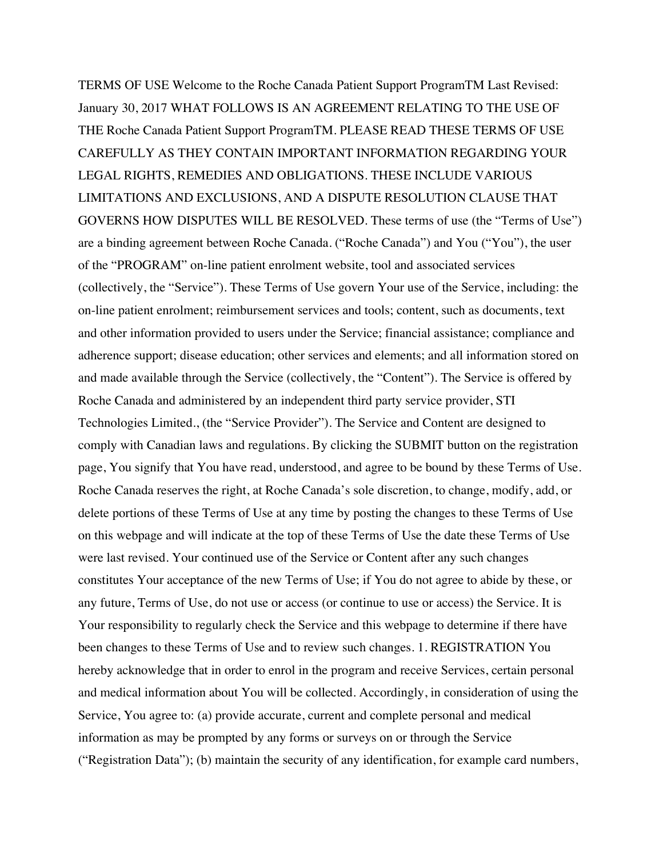TERMS OF USE Welcome to the Roche Canada Patient Support ProgramTM Last Revised: January 30, 2017 WHAT FOLLOWS IS AN AGREEMENT RELATING TO THE USE OF THE Roche Canada Patient Support ProgramTM. PLEASE READ THESE TERMS OF USE CAREFULLY AS THEY CONTAIN IMPORTANT INFORMATION REGARDING YOUR LEGAL RIGHTS, REMEDIES AND OBLIGATIONS. THESE INCLUDE VARIOUS LIMITATIONS AND EXCLUSIONS, AND A DISPUTE RESOLUTION CLAUSE THAT GOVERNS HOW DISPUTES WILL BE RESOLVED. These terms of use (the "Terms of Use") are a binding agreement between Roche Canada. ("Roche Canada") and You ("You"), the user of the "PROGRAM" on-line patient enrolment website, tool and associated services (collectively, the "Service"). These Terms of Use govern Your use of the Service, including: the on-line patient enrolment; reimbursement services and tools; content, such as documents, text and other information provided to users under the Service; financial assistance; compliance and adherence support; disease education; other services and elements; and all information stored on and made available through the Service (collectively, the "Content"). The Service is offered by Roche Canada and administered by an independent third party service provider, STI Technologies Limited., (the "Service Provider"). The Service and Content are designed to comply with Canadian laws and regulations. By clicking the SUBMIT button on the registration page, You signify that You have read, understood, and agree to be bound by these Terms of Use. Roche Canada reserves the right, at Roche Canada's sole discretion, to change, modify, add, or delete portions of these Terms of Use at any time by posting the changes to these Terms of Use on this webpage and will indicate at the top of these Terms of Use the date these Terms of Use were last revised. Your continued use of the Service or Content after any such changes constitutes Your acceptance of the new Terms of Use; if You do not agree to abide by these, or any future, Terms of Use, do not use or access (or continue to use or access) the Service. It is Your responsibility to regularly check the Service and this webpage to determine if there have been changes to these Terms of Use and to review such changes. 1. REGISTRATION You hereby acknowledge that in order to enrol in the program and receive Services, certain personal and medical information about You will be collected. Accordingly, in consideration of using the Service, You agree to: (a) provide accurate, current and complete personal and medical information as may be prompted by any forms or surveys on or through the Service ("Registration Data"); (b) maintain the security of any identification, for example card numbers,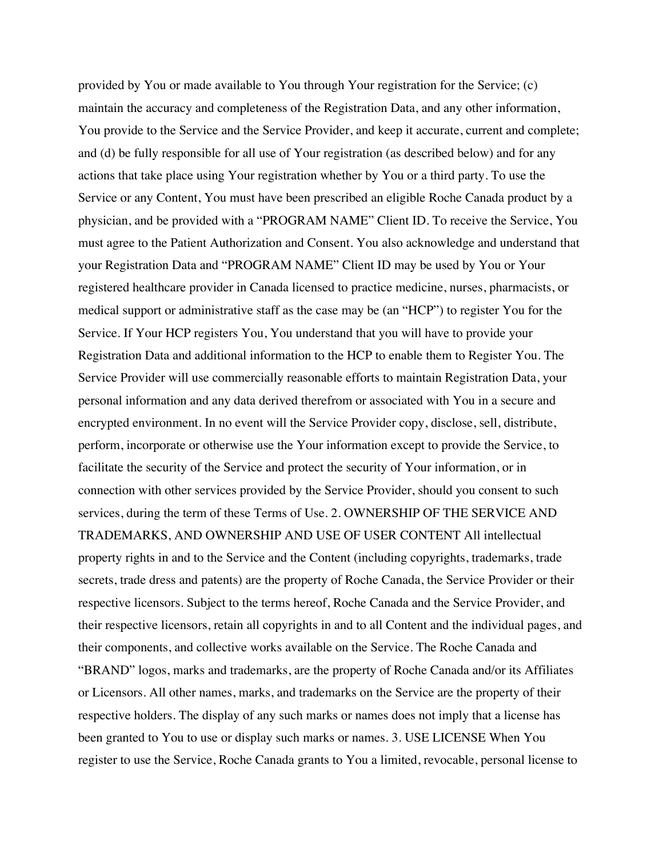provided by You or made available to You through Your registration for the Service; (c) maintain the accuracy and completeness of the Registration Data, and any other information, You provide to the Service and the Service Provider, and keep it accurate, current and complete; and (d) be fully responsible for all use of Your registration (as described below) and for any actions that take place using Your registration whether by You or a third party. To use the Service or any Content, You must have been prescribed an eligible Roche Canada product by a physician, and be provided with a "PROGRAM NAME" Client ID. To receive the Service, You must agree to the Patient Authorization and Consent. You also acknowledge and understand that your Registration Data and "PROGRAM NAME" Client ID may be used by You or Your registered healthcare provider in Canada licensed to practice medicine, nurses, pharmacists, or medical support or administrative staff as the case may be (an "HCP") to register You for the Service. If Your HCP registers You, You understand that you will have to provide your Registration Data and additional information to the HCP to enable them to Register You. The Service Provider will use commercially reasonable efforts to maintain Registration Data, your personal information and any data derived therefrom or associated with You in a secure and encrypted environment. In no event will the Service Provider copy, disclose, sell, distribute, perform, incorporate or otherwise use the Your information except to provide the Service, to facilitate the security of the Service and protect the security of Your information, or in connection with other services provided by the Service Provider, should you consent to such services, during the term of these Terms of Use. 2. OWNERSHIP OF THE SERVICE AND TRADEMARKS, AND OWNERSHIP AND USE OF USER CONTENT All intellectual property rights in and to the Service and the Content (including copyrights, trademarks, trade secrets, trade dress and patents) are the property of Roche Canada, the Service Provider or their respective licensors. Subject to the terms hereof, Roche Canada and the Service Provider, and their respective licensors, retain all copyrights in and to all Content and the individual pages, and their components, and collective works available on the Service. The Roche Canada and "BRAND" logos, marks and trademarks, are the property of Roche Canada and/or its Affiliates or Licensors. All other names, marks, and trademarks on the Service are the property of their respective holders. The display of any such marks or names does not imply that a license has been granted to You to use or display such marks or names. 3. USE LICENSE When You register to use the Service, Roche Canada grants to You a limited, revocable, personal license to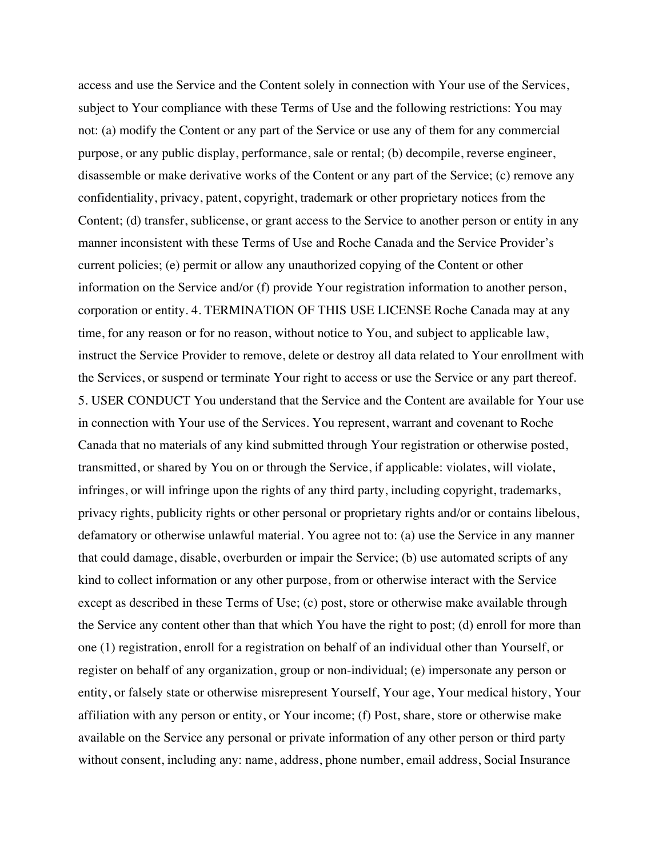access and use the Service and the Content solely in connection with Your use of the Services, subject to Your compliance with these Terms of Use and the following restrictions: You may not: (a) modify the Content or any part of the Service or use any of them for any commercial purpose, or any public display, performance, sale or rental; (b) decompile, reverse engineer, disassemble or make derivative works of the Content or any part of the Service; (c) remove any confidentiality, privacy, patent, copyright, trademark or other proprietary notices from the Content; (d) transfer, sublicense, or grant access to the Service to another person or entity in any manner inconsistent with these Terms of Use and Roche Canada and the Service Provider's current policies; (e) permit or allow any unauthorized copying of the Content or other information on the Service and/or (f) provide Your registration information to another person, corporation or entity. 4. TERMINATION OF THIS USE LICENSE Roche Canada may at any time, for any reason or for no reason, without notice to You, and subject to applicable law, instruct the Service Provider to remove, delete or destroy all data related to Your enrollment with the Services, or suspend or terminate Your right to access or use the Service or any part thereof. 5. USER CONDUCT You understand that the Service and the Content are available for Your use in connection with Your use of the Services. You represent, warrant and covenant to Roche Canada that no materials of any kind submitted through Your registration or otherwise posted, transmitted, or shared by You on or through the Service, if applicable: violates, will violate, infringes, or will infringe upon the rights of any third party, including copyright, trademarks, privacy rights, publicity rights or other personal or proprietary rights and/or or contains libelous, defamatory or otherwise unlawful material. You agree not to: (a) use the Service in any manner that could damage, disable, overburden or impair the Service; (b) use automated scripts of any kind to collect information or any other purpose, from or otherwise interact with the Service except as described in these Terms of Use; (c) post, store or otherwise make available through the Service any content other than that which You have the right to post; (d) enroll for more than one (1) registration, enroll for a registration on behalf of an individual other than Yourself, or register on behalf of any organization, group or non-individual; (e) impersonate any person or entity, or falsely state or otherwise misrepresent Yourself, Your age, Your medical history, Your affiliation with any person or entity, or Your income; (f) Post, share, store or otherwise make available on the Service any personal or private information of any other person or third party without consent, including any: name, address, phone number, email address, Social Insurance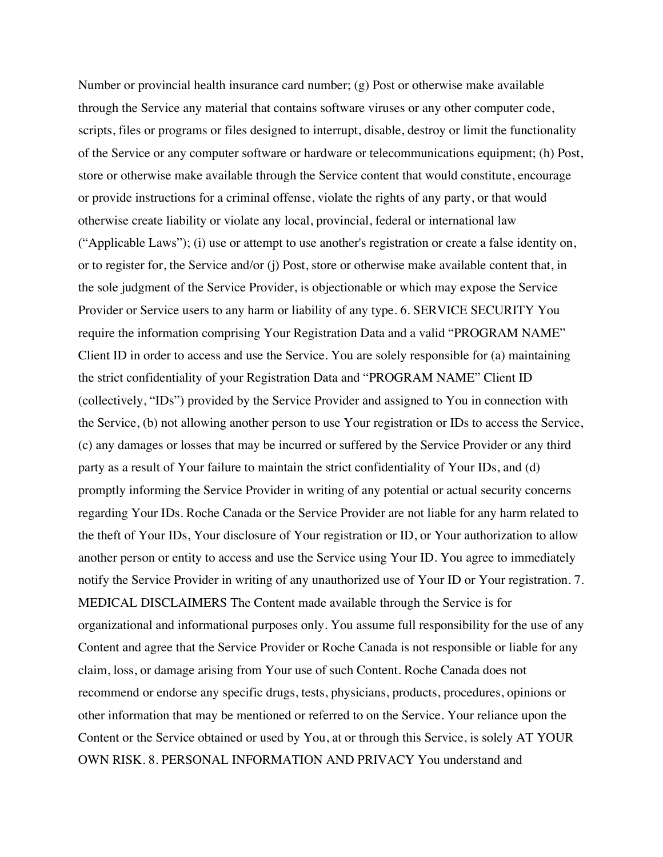Number or provincial health insurance card number; (g) Post or otherwise make available through the Service any material that contains software viruses or any other computer code, scripts, files or programs or files designed to interrupt, disable, destroy or limit the functionality of the Service or any computer software or hardware or telecommunications equipment; (h) Post, store or otherwise make available through the Service content that would constitute, encourage or provide instructions for a criminal offense, violate the rights of any party, or that would otherwise create liability or violate any local, provincial, federal or international law ("Applicable Laws"); (i) use or attempt to use another's registration or create a false identity on, or to register for, the Service and/or (j) Post, store or otherwise make available content that, in the sole judgment of the Service Provider, is objectionable or which may expose the Service Provider or Service users to any harm or liability of any type. 6. SERVICE SECURITY You require the information comprising Your Registration Data and a valid "PROGRAM NAME" Client ID in order to access and use the Service. You are solely responsible for (a) maintaining the strict confidentiality of your Registration Data and "PROGRAM NAME" Client ID (collectively, "IDs") provided by the Service Provider and assigned to You in connection with the Service, (b) not allowing another person to use Your registration or IDs to access the Service, (c) any damages or losses that may be incurred or suffered by the Service Provider or any third party as a result of Your failure to maintain the strict confidentiality of Your IDs, and (d) promptly informing the Service Provider in writing of any potential or actual security concerns regarding Your IDs. Roche Canada or the Service Provider are not liable for any harm related to the theft of Your IDs, Your disclosure of Your registration or ID, or Your authorization to allow another person or entity to access and use the Service using Your ID. You agree to immediately notify the Service Provider in writing of any unauthorized use of Your ID or Your registration. 7. MEDICAL DISCLAIMERS The Content made available through the Service is for organizational and informational purposes only. You assume full responsibility for the use of any Content and agree that the Service Provider or Roche Canada is not responsible or liable for any claim, loss, or damage arising from Your use of such Content. Roche Canada does not recommend or endorse any specific drugs, tests, physicians, products, procedures, opinions or other information that may be mentioned or referred to on the Service. Your reliance upon the Content or the Service obtained or used by You, at or through this Service, is solely AT YOUR OWN RISK. 8. PERSONAL INFORMATION AND PRIVACY You understand and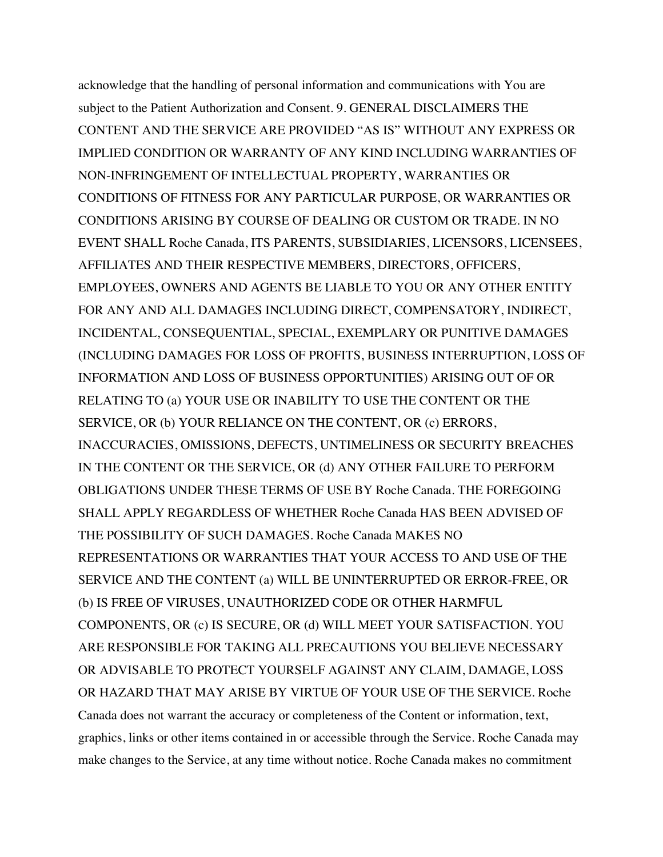acknowledge that the handling of personal information and communications with You are subject to the Patient Authorization and Consent. 9. GENERAL DISCLAIMERS THE CONTENT AND THE SERVICE ARE PROVIDED "AS IS" WITHOUT ANY EXPRESS OR IMPLIED CONDITION OR WARRANTY OF ANY KIND INCLUDING WARRANTIES OF NON-INFRINGEMENT OF INTELLECTUAL PROPERTY, WARRANTIES OR CONDITIONS OF FITNESS FOR ANY PARTICULAR PURPOSE, OR WARRANTIES OR CONDITIONS ARISING BY COURSE OF DEALING OR CUSTOM OR TRADE. IN NO EVENT SHALL Roche Canada, ITS PARENTS, SUBSIDIARIES, LICENSORS, LICENSEES, AFFILIATES AND THEIR RESPECTIVE MEMBERS, DIRECTORS, OFFICERS, EMPLOYEES, OWNERS AND AGENTS BE LIABLE TO YOU OR ANY OTHER ENTITY FOR ANY AND ALL DAMAGES INCLUDING DIRECT, COMPENSATORY, INDIRECT, INCIDENTAL, CONSEQUENTIAL, SPECIAL, EXEMPLARY OR PUNITIVE DAMAGES (INCLUDING DAMAGES FOR LOSS OF PROFITS, BUSINESS INTERRUPTION, LOSS OF INFORMATION AND LOSS OF BUSINESS OPPORTUNITIES) ARISING OUT OF OR RELATING TO (a) YOUR USE OR INABILITY TO USE THE CONTENT OR THE SERVICE, OR (b) YOUR RELIANCE ON THE CONTENT, OR (c) ERRORS, INACCURACIES, OMISSIONS, DEFECTS, UNTIMELINESS OR SECURITY BREACHES IN THE CONTENT OR THE SERVICE, OR (d) ANY OTHER FAILURE TO PERFORM OBLIGATIONS UNDER THESE TERMS OF USE BY Roche Canada. THE FOREGOING SHALL APPLY REGARDLESS OF WHETHER Roche Canada HAS BEEN ADVISED OF THE POSSIBILITY OF SUCH DAMAGES. Roche Canada MAKES NO REPRESENTATIONS OR WARRANTIES THAT YOUR ACCESS TO AND USE OF THE SERVICE AND THE CONTENT (a) WILL BE UNINTERRUPTED OR ERROR-FREE, OR (b) IS FREE OF VIRUSES, UNAUTHORIZED CODE OR OTHER HARMFUL COMPONENTS, OR (c) IS SECURE, OR (d) WILL MEET YOUR SATISFACTION. YOU ARE RESPONSIBLE FOR TAKING ALL PRECAUTIONS YOU BELIEVE NECESSARY OR ADVISABLE TO PROTECT YOURSELF AGAINST ANY CLAIM, DAMAGE, LOSS OR HAZARD THAT MAY ARISE BY VIRTUE OF YOUR USE OF THE SERVICE. Roche Canada does not warrant the accuracy or completeness of the Content or information, text, graphics, links or other items contained in or accessible through the Service. Roche Canada may make changes to the Service, at any time without notice. Roche Canada makes no commitment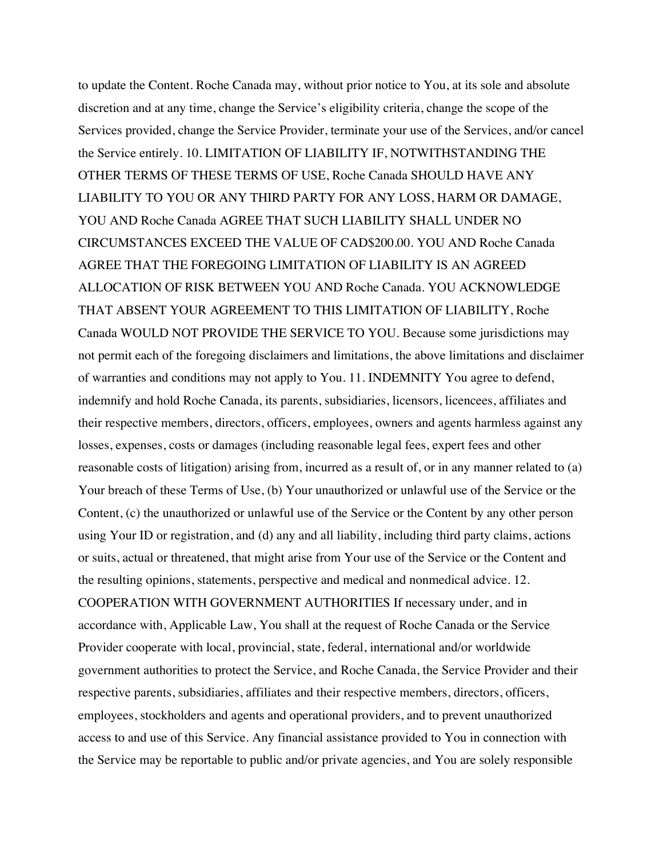to update the Content. Roche Canada may, without prior notice to You, at its sole and absolute discretion and at any time, change the Service's eligibility criteria, change the scope of the Services provided, change the Service Provider, terminate your use of the Services, and/or cancel the Service entirely. 10. LIMITATION OF LIABILITY IF, NOTWITHSTANDING THE OTHER TERMS OF THESE TERMS OF USE, Roche Canada SHOULD HAVE ANY LIABILITY TO YOU OR ANY THIRD PARTY FOR ANY LOSS, HARM OR DAMAGE, YOU AND Roche Canada AGREE THAT SUCH LIABILITY SHALL UNDER NO CIRCUMSTANCES EXCEED THE VALUE OF CAD\$200.00. YOU AND Roche Canada AGREE THAT THE FOREGOING LIMITATION OF LIABILITY IS AN AGREED ALLOCATION OF RISK BETWEEN YOU AND Roche Canada. YOU ACKNOWLEDGE THAT ABSENT YOUR AGREEMENT TO THIS LIMITATION OF LIABILITY, Roche Canada WOULD NOT PROVIDE THE SERVICE TO YOU. Because some jurisdictions may not permit each of the foregoing disclaimers and limitations, the above limitations and disclaimer of warranties and conditions may not apply to You. 11. INDEMNITY You agree to defend, indemnify and hold Roche Canada, its parents, subsidiaries, licensors, licencees, affiliates and their respective members, directors, officers, employees, owners and agents harmless against any losses, expenses, costs or damages (including reasonable legal fees, expert fees and other reasonable costs of litigation) arising from, incurred as a result of, or in any manner related to (a) Your breach of these Terms of Use, (b) Your unauthorized or unlawful use of the Service or the Content, (c) the unauthorized or unlawful use of the Service or the Content by any other person using Your ID or registration, and (d) any and all liability, including third party claims, actions or suits, actual or threatened, that might arise from Your use of the Service or the Content and the resulting opinions, statements, perspective and medical and nonmedical advice. 12. COOPERATION WITH GOVERNMENT AUTHORITIES If necessary under, and in accordance with, Applicable Law, You shall at the request of Roche Canada or the Service Provider cooperate with local, provincial, state, federal, international and/or worldwide government authorities to protect the Service, and Roche Canada, the Service Provider and their respective parents, subsidiaries, affiliates and their respective members, directors, officers, employees, stockholders and agents and operational providers, and to prevent unauthorized access to and use of this Service. Any financial assistance provided to You in connection with the Service may be reportable to public and/or private agencies, and You are solely responsible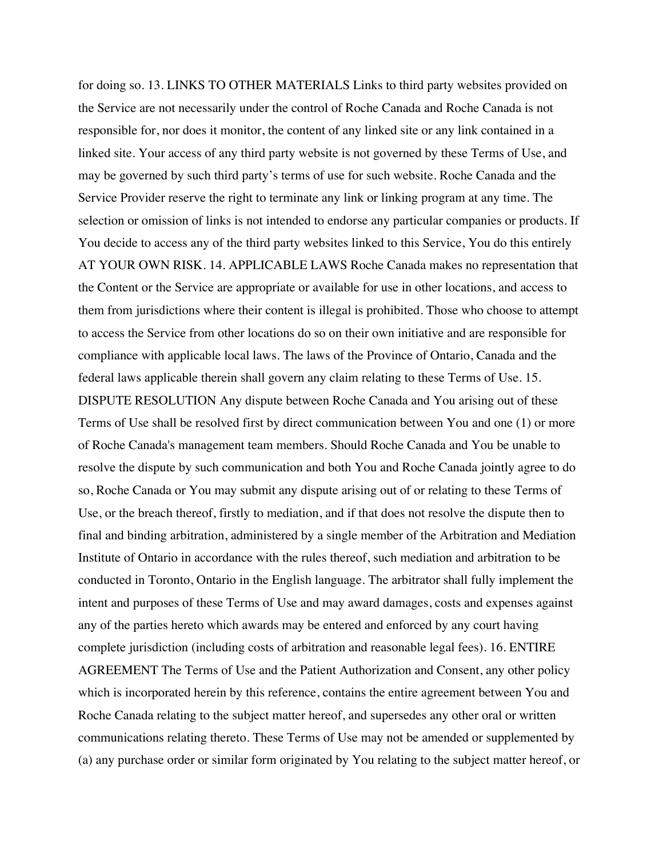for doing so. 13. LINKS TO OTHER MATERIALS Links to third party websites provided on the Service are not necessarily under the control of Roche Canada and Roche Canada is not responsible for, nor does it monitor, the content of any linked site or any link contained in a linked site. Your access of any third party website is not governed by these Terms of Use, and may be governed by such third party's terms of use for such website. Roche Canada and the Service Provider reserve the right to terminate any link or linking program at any time. The selection or omission of links is not intended to endorse any particular companies or products. If You decide to access any of the third party websites linked to this Service, You do this entirely AT YOUR OWN RISK. 14. APPLICABLE LAWS Roche Canada makes no representation that the Content or the Service are appropriate or available for use in other locations, and access to them from jurisdictions where their content is illegal is prohibited. Those who choose to attempt to access the Service from other locations do so on their own initiative and are responsible for compliance with applicable local laws. The laws of the Province of Ontario, Canada and the federal laws applicable therein shall govern any claim relating to these Terms of Use. 15. DISPUTE RESOLUTION Any dispute between Roche Canada and You arising out of these Terms of Use shall be resolved first by direct communication between You and one (1) or more of Roche Canada's management team members. Should Roche Canada and You be unable to resolve the dispute by such communication and both You and Roche Canada jointly agree to do so, Roche Canada or You may submit any dispute arising out of or relating to these Terms of Use, or the breach thereof, firstly to mediation, and if that does not resolve the dispute then to final and binding arbitration, administered by a single member of the Arbitration and Mediation Institute of Ontario in accordance with the rules thereof, such mediation and arbitration to be conducted in Toronto, Ontario in the English language. The arbitrator shall fully implement the intent and purposes of these Terms of Use and may award damages, costs and expenses against any of the parties hereto which awards may be entered and enforced by any court having complete jurisdiction (including costs of arbitration and reasonable legal fees). 16. ENTIRE AGREEMENT The Terms of Use and the Patient Authorization and Consent, any other policy which is incorporated herein by this reference, contains the entire agreement between You and Roche Canada relating to the subject matter hereof, and supersedes any other oral or written communications relating thereto. These Terms of Use may not be amended or supplemented by (a) any purchase order or similar form originated by You relating to the subject matter hereof, or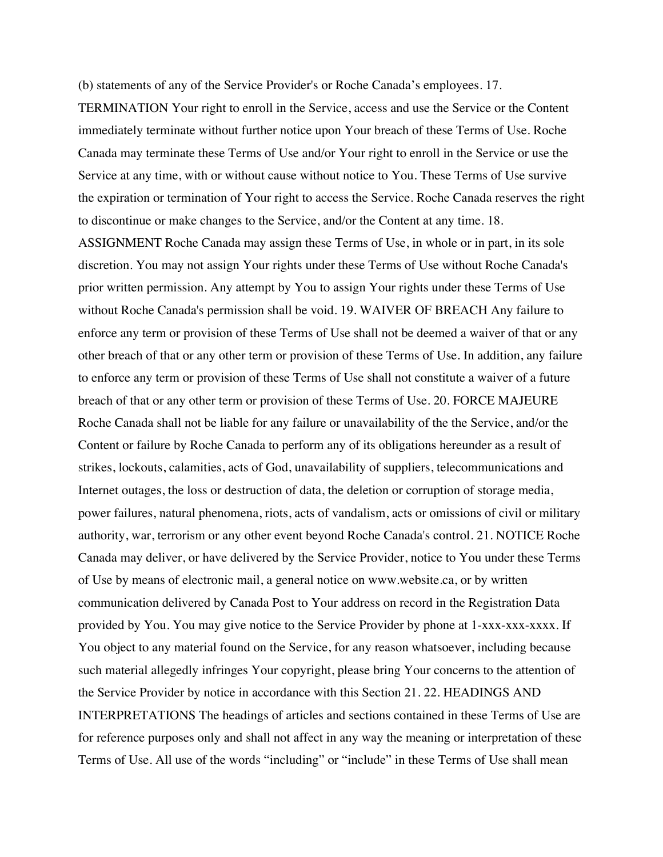(b) statements of any of the Service Provider's or Roche Canada's employees. 17.

TERMINATION Your right to enroll in the Service, access and use the Service or the Content immediately terminate without further notice upon Your breach of these Terms of Use. Roche Canada may terminate these Terms of Use and/or Your right to enroll in the Service or use the Service at any time, with or without cause without notice to You. These Terms of Use survive the expiration or termination of Your right to access the Service. Roche Canada reserves the right to discontinue or make changes to the Service, and/or the Content at any time. 18.

ASSIGNMENT Roche Canada may assign these Terms of Use, in whole or in part, in its sole discretion. You may not assign Your rights under these Terms of Use without Roche Canada's prior written permission. Any attempt by You to assign Your rights under these Terms of Use without Roche Canada's permission shall be void. 19. WAIVER OF BREACH Any failure to enforce any term or provision of these Terms of Use shall not be deemed a waiver of that or any other breach of that or any other term or provision of these Terms of Use. In addition, any failure to enforce any term or provision of these Terms of Use shall not constitute a waiver of a future breach of that or any other term or provision of these Terms of Use. 20. FORCE MAJEURE Roche Canada shall not be liable for any failure or unavailability of the the Service, and/or the Content or failure by Roche Canada to perform any of its obligations hereunder as a result of strikes, lockouts, calamities, acts of God, unavailability of suppliers, telecommunications and Internet outages, the loss or destruction of data, the deletion or corruption of storage media, power failures, natural phenomena, riots, acts of vandalism, acts or omissions of civil or military authority, war, terrorism or any other event beyond Roche Canada's control. 21. NOTICE Roche Canada may deliver, or have delivered by the Service Provider, notice to You under these Terms of Use by means of electronic mail, a general notice on www.website.ca, or by written communication delivered by Canada Post to Your address on record in the Registration Data provided by You. You may give notice to the Service Provider by phone at 1-xxx-xxx-xxxx. If You object to any material found on the Service, for any reason whatsoever, including because such material allegedly infringes Your copyright, please bring Your concerns to the attention of the Service Provider by notice in accordance with this Section 21. 22. HEADINGS AND INTERPRETATIONS The headings of articles and sections contained in these Terms of Use are for reference purposes only and shall not affect in any way the meaning or interpretation of these Terms of Use. All use of the words "including" or "include" in these Terms of Use shall mean